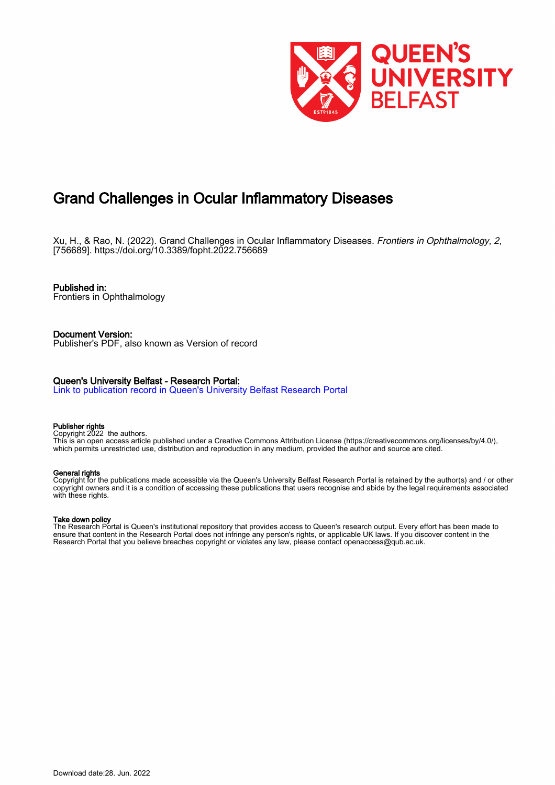

# Grand Challenges in Ocular Inflammatory Diseases

Xu, H., & Rao, N. (2022). Grand Challenges in Ocular Inflammatory Diseases. Frontiers in Ophthalmology, 2, [756689].<https://doi.org/10.3389/fopht.2022.756689>

Published in: Frontiers in Ophthalmology

Document Version: Publisher's PDF, also known as Version of record

### Queen's University Belfast - Research Portal:

[Link to publication record in Queen's University Belfast Research Portal](https://pure.qub.ac.uk/en/publications/2dd45277-d77c-4c01-ac9d-092c5ba3b390)

#### Publisher rights

Copyright 2022 the authors.

This is an open access article published under a Creative Commons Attribution License (https://creativecommons.org/licenses/by/4.0/), which permits unrestricted use, distribution and reproduction in any medium, provided the author and source are cited.

#### General rights

Copyright for the publications made accessible via the Queen's University Belfast Research Portal is retained by the author(s) and / or other copyright owners and it is a condition of accessing these publications that users recognise and abide by the legal requirements associated with these rights.

#### Take down policy

The Research Portal is Queen's institutional repository that provides access to Queen's research output. Every effort has been made to ensure that content in the Research Portal does not infringe any person's rights, or applicable UK laws. If you discover content in the Research Portal that you believe breaches copyright or violates any law, please contact openaccess@qub.ac.uk.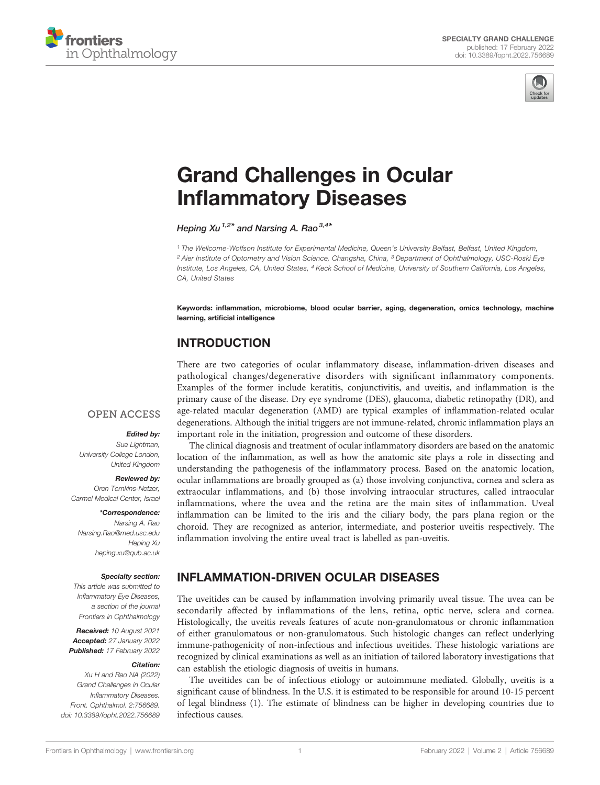



# [Grand Challenges in Ocular](https://www.frontiersin.org/articles/10.3389/fopht.2022.756689/full) Infl[ammatory Diseases](https://www.frontiersin.org/articles/10.3389/fopht.2022.756689/full)

Heping Xu<sup>1,2\*</sup> and Narsing A. Rao<sup>3,4\*</sup>

<sup>1</sup> The Wellcome-Wolfson Institute for Experimental Medicine, Queen's University Belfast, Belfast, United Kingdom, <sup>2</sup> Aier Institute of Optometry and Vision Science, Changsha, China, <sup>3</sup> Department of Ophthalmology, USC-Roski Eye Institute, Los Angeles, CA, United States, <sup>4</sup> Keck School of Medicine, University of Southern California, Los Angeles, CA, United States

Keywords: inflammation, microbiome, blood ocular barrier, aging, degeneration, omics technology, machine learning, artificial intelligence

# INTRODUCTION

There are two categories of ocular inflammatory disease, inflammation-driven diseases and pathological changes/degenerative disorders with significant inflammatory components. Examples of the former include keratitis, conjunctivitis, and uveitis, and inflammation is the primary cause of the disease. Dry eye syndrome (DES), glaucoma, diabetic retinopathy (DR), and age-related macular degeneration (AMD) are typical examples of inflammation-related ocular degenerations. Although the initial triggers are not immune-related, chronic inflammation plays an important role in the initiation, progression and outcome of these disorders.

### **OPEN ACCESS**

#### Edited by:

Sue Lightman, University College London, United Kingdom

#### Reviewed by:

Oren Tomkins-Netzer, Carmel Medical Center, Israel

#### \*Correspondence:

Narsing A. Rao [Narsing.Rao@med.usc.edu](mailto:Narsing.Rao@med.usc.edu) Heping Xu [heping.xu@qub.ac.uk](mailto:heping.xu@qub.ac.uk)

#### Specialty section:

This article was submitted to Inflammatory Eye Diseases, a section of the journal Frontiers in Ophthalmology

Received: 10 August 2021 Accepted: 27 January 2022 Published: 17 February 2022

#### Citation:

Xu H and Rao NA (2022) Grand Challenges in Ocular Inflammatory Diseases. Front. Ophthalmol. 2:756689. [doi: 10.3389/fopht.2022.756689](https://doi.org/10.3389/fopht.2022.756689)

The clinical diagnosis and treatment of ocular inflammatory disorders are based on the anatomic location of the inflammation, as well as how the anatomic site plays a role in dissecting and understanding the pathogenesis of the inflammatory process. Based on the anatomic location, ocular inflammations are broadly grouped as (a) those involving conjunctiva, cornea and sclera as extraocular inflammations, and (b) those involving intraocular structures, called intraocular inflammations, where the uvea and the retina are the main sites of inflammation. Uveal inflammation can be limited to the iris and the ciliary body, the pars plana region or the choroid. They are recognized as anterior, intermediate, and posterior uveitis respectively. The inflammation involving the entire uveal tract is labelled as pan-uveitis.

# INFLAMMATION-DRIVEN OCULAR DISEASES

The uveitides can be caused by inflammation involving primarily uveal tissue. The uvea can be secondarily affected by inflammations of the lens, retina, optic nerve, sclera and cornea. Histologically, the uveitis reveals features of acute non-granulomatous or chronic inflammation of either granulomatous or non-granulomatous. Such histologic changes can reflect underlying immune-pathogenicity of non-infectious and infectious uveitides. These histologic variations are recognized by clinical examinations as well as an initiation of tailored laboratory investigations that can establish the etiologic diagnosis of uveitis in humans.

The uveitides can be of infectious etiology or autoimmune mediated. Globally, uveitis is a significant cause of blindness. In the U.S. it is estimated to be responsible for around 10-15 percent of legal blindness [\(1\)](#page-6-0). The estimate of blindness can be higher in developing countries due to infectious causes.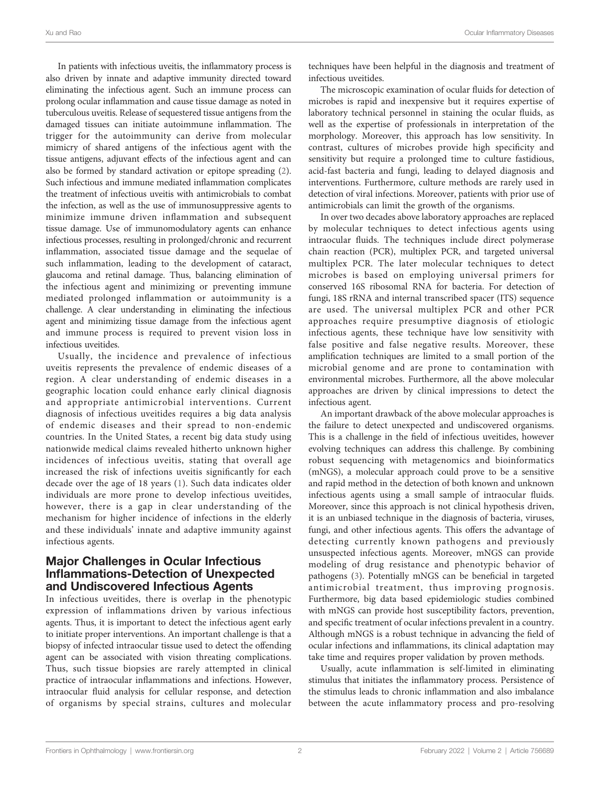In patients with infectious uveitis, the inflammatory process is also driven by innate and adaptive immunity directed toward eliminating the infectious agent. Such an immune process can prolong ocular inflammation and cause tissue damage as noted in tuberculous uveitis. Release of sequestered tissue antigens from the damaged tissues can initiate autoimmune inflammation. The trigger for the autoimmunity can derive from molecular mimicry of shared antigens of the infectious agent with the tissue antigens, adjuvant effects of the infectious agent and can also be formed by standard activation or epitope spreading [\(2\)](#page-6-0). Such infectious and immune mediated inflammation complicates the treatment of infectious uveitis with antimicrobials to combat the infection, as well as the use of immunosuppressive agents to minimize immune driven inflammation and subsequent tissue damage. Use of immunomodulatory agents can enhance infectious processes, resulting in prolonged/chronic and recurrent inflammation, associated tissue damage and the sequelae of such inflammation, leading to the development of cataract, glaucoma and retinal damage. Thus, balancing elimination of the infectious agent and minimizing or preventing immune mediated prolonged inflammation or autoimmunity is a challenge. A clear understanding in eliminating the infectious agent and minimizing tissue damage from the infectious agent and immune process is required to prevent vision loss in infectious uveitides.

Usually, the incidence and prevalence of infectious uveitis represents the prevalence of endemic diseases of a region. A clear understanding of endemic diseases in a geographic location could enhance early clinical diagnosis and appropriate antimicrobial interventions. Current diagnosis of infectious uveitides requires a big data analysis of endemic diseases and their spread to non-endemic countries. In the United States, a recent big data study using nationwide medical claims revealed hitherto unknown higher incidences of infectious uveitis, stating that overall age increased the risk of infections uveitis significantly for each decade over the age of 18 years [\(1\)](#page-6-0). Such data indicates older individuals are more prone to develop infectious uveitides, however, there is a gap in clear understanding of the mechanism for higher incidence of infections in the elderly and these individuals' innate and adaptive immunity against infectious agents.

### Major Challenges in Ocular Infectious Inflammations-Detection of Unexpected and Undiscovered Infectious Agents

In infectious uveitides, there is overlap in the phenotypic expression of inflammations driven by various infectious agents. Thus, it is important to detect the infectious agent early to initiate proper interventions. An important challenge is that a biopsy of infected intraocular tissue used to detect the offending agent can be associated with vision threating complications. Thus, such tissue biopsies are rarely attempted in clinical practice of intraocular inflammations and infections. However, intraocular fluid analysis for cellular response, and detection of organisms by special strains, cultures and molecular

techniques have been helpful in the diagnosis and treatment of infectious uveitides.

The microscopic examination of ocular fluids for detection of microbes is rapid and inexpensive but it requires expertise of laboratory technical personnel in staining the ocular fluids, as well as the expertise of professionals in interpretation of the morphology. Moreover, this approach has low sensitivity. In contrast, cultures of microbes provide high specificity and sensitivity but require a prolonged time to culture fastidious, acid-fast bacteria and fungi, leading to delayed diagnosis and interventions. Furthermore, culture methods are rarely used in detection of viral infections. Moreover, patients with prior use of antimicrobials can limit the growth of the organisms.

In over two decades above laboratory approaches are replaced by molecular techniques to detect infectious agents using intraocular fluids. The techniques include direct polymerase chain reaction (PCR), multiplex PCR, and targeted universal multiplex PCR. The later molecular techniques to detect microbes is based on employing universal primers for conserved 16S ribosomal RNA for bacteria. For detection of fungi, 18S rRNA and internal transcribed spacer (ITS) sequence are used. The universal multiplex PCR and other PCR approaches require presumptive diagnosis of etiologic infectious agents, these technique have low sensitivity with false positive and false negative results. Moreover, these amplification techniques are limited to a small portion of the microbial genome and are prone to contamination with environmental microbes. Furthermore, all the above molecular approaches are driven by clinical impressions to detect the infectious agent.

An important drawback of the above molecular approaches is the failure to detect unexpected and undiscovered organisms. This is a challenge in the field of infectious uveitides, however evolving techniques can address this challenge. By combining robust sequencing with metagenomics and bioinformatics (mNGS), a molecular approach could prove to be a sensitive and rapid method in the detection of both known and unknown infectious agents using a small sample of intraocular fluids. Moreover, since this approach is not clinical hypothesis driven, it is an unbiased technique in the diagnosis of bacteria, viruses, fungi, and other infectious agents. This offers the advantage of detecting currently known pathogens and previously unsuspected infectious agents. Moreover, mNGS can provide modeling of drug resistance and phenotypic behavior of pathogens ([3](#page-6-0)). Potentially mNGS can be beneficial in targeted antimicrobial treatment, thus improving prognosis. Furthermore, big data based epidemiologic studies combined with mNGS can provide host susceptibility factors, prevention, and specific treatment of ocular infections prevalent in a country. Although mNGS is a robust technique in advancing the field of ocular infections and inflammations, its clinical adaptation may take time and requires proper validation by proven methods.

Usually, acute inflammation is self-limited in eliminating stimulus that initiates the inflammatory process. Persistence of the stimulus leads to chronic inflammation and also imbalance between the acute inflammatory process and pro-resolving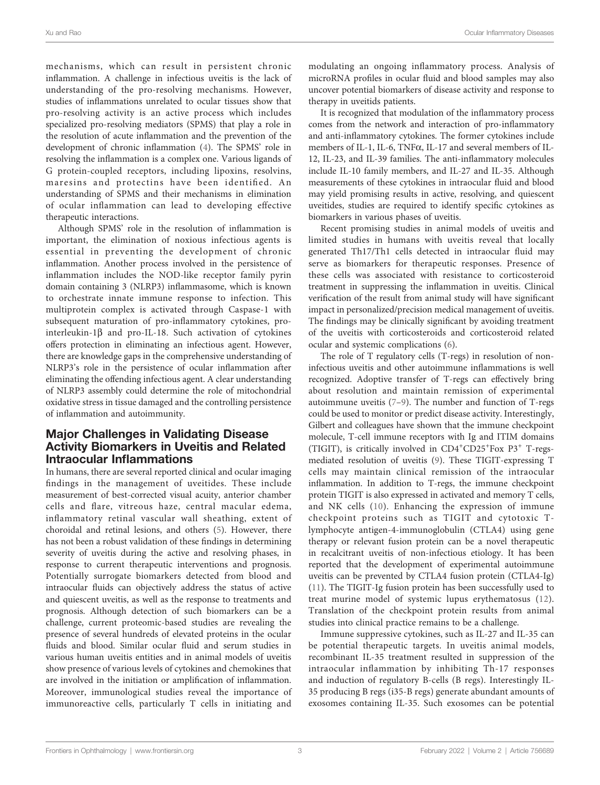mechanisms, which can result in persistent chronic inflammation. A challenge in infectious uveitis is the lack of understanding of the pro-resolving mechanisms. However, studies of inflammations unrelated to ocular tissues show that pro-resolving activity is an active process which includes specialized pro-resolving mediators (SPMS) that play a role in the resolution of acute inflammation and the prevention of the development of chronic inflammation ([4](#page-6-0)). The SPMS' role in resolving the inflammation is a complex one. Various ligands of G protein-coupled receptors, including lipoxins, resolvins, maresins and protectins have been identified. An understanding of SPMS and their mechanisms in elimination of ocular inflammation can lead to developing effective therapeutic interactions.

Although SPMS' role in the resolution of inflammation is important, the elimination of noxious infectious agents is essential in preventing the development of chronic inflammation. Another process involved in the persistence of inflammation includes the NOD-like receptor family pyrin domain containing 3 (NLRP3) inflammasome, which is known to orchestrate innate immune response to infection. This multiprotein complex is activated through Caspase-1 with subsequent maturation of pro-inflammatory cytokines, prointerleukin-1 $\beta$  and pro-IL-18. Such activation of cytokines offers protection in eliminating an infectious agent. However, there are knowledge gaps in the comprehensive understanding of NLRP3's role in the persistence of ocular inflammation after eliminating the offending infectious agent. A clear understanding of NLRP3 assembly could determine the role of mitochondrial oxidative stress in tissue damaged and the controlling persistence of inflammation and autoimmunity.

### Major Challenges in Validating Disease Activity Biomarkers in Uveitis and Related Intraocular Inflammations

In humans, there are several reported clinical and ocular imaging findings in the management of uveitides. These include measurement of best-corrected visual acuity, anterior chamber cells and flare, vitreous haze, central macular edema, inflammatory retinal vascular wall sheathing, extent of choroidal and retinal lesions, and others ([5\)](#page-6-0). However, there has not been a robust validation of these findings in determining severity of uveitis during the active and resolving phases, in response to current therapeutic interventions and prognosis. Potentially surrogate biomarkers detected from blood and intraocular fluids can objectively address the status of active and quiescent uveitis, as well as the response to treatments and prognosis. Although detection of such biomarkers can be a challenge, current proteomic-based studies are revealing the presence of several hundreds of elevated proteins in the ocular fluids and blood. Similar ocular fluid and serum studies in various human uveitis entities and in animal models of uveitis show presence of various levels of cytokines and chemokines that are involved in the initiation or amplification of inflammation. Moreover, immunological studies reveal the importance of immunoreactive cells, particularly T cells in initiating and

modulating an ongoing inflammatory process. Analysis of microRNA profiles in ocular fluid and blood samples may also uncover potential biomarkers of disease activity and response to therapy in uveitids patients.

It is recognized that modulation of the inflammatory process comes from the network and interaction of pro-inflammatory and anti-inflammatory cytokines. The former cytokines include members of IL-1, IL-6, TNF $\alpha$ , IL-17 and several members of IL-12, IL-23, and IL-39 families. The anti-inflammatory molecules include IL-10 family members, and IL-27 and IL-35. Although measurements of these cytokines in intraocular fluid and blood may yield promising results in active, resolving, and quiescent uveitides, studies are required to identify specific cytokines as biomarkers in various phases of uveitis.

Recent promising studies in animal models of uveitis and limited studies in humans with uveitis reveal that locally generated Th17/Th1 cells detected in intraocular fluid may serve as biomarkers for therapeutic responses. Presence of these cells was associated with resistance to corticosteroid treatment in suppressing the inflammation in uveitis. Clinical verification of the result from animal study will have significant impact in personalized/precision medical management of uveitis. The findings may be clinically significant by avoiding treatment of the uveitis with corticosteroids and corticosteroid related ocular and systemic complications ([6\)](#page-6-0).

The role of T regulatory cells (T-regs) in resolution of noninfectious uveitis and other autoimmune inflammations is well recognized. Adoptive transfer of T-regs can effectively bring about resolution and maintain remission of experimental autoimmune uveitis  $(7-9)$  $(7-9)$  $(7-9)$  $(7-9)$ . The number and function of T-regs could be used to monitor or predict disease activity. Interestingly, Gilbert and colleagues have shown that the immune checkpoint molecule, T-cell immune receptors with Ig and ITIM domains (TIGIT), is critically involved in CD4<sup>+</sup>CD25<sup>+</sup>Fox P3<sup>+</sup> T-regsmediated resolution of uveitis [\(9](#page-6-0)). These TIGIT-expressing T cells may maintain clinical remission of the intraocular inflammation. In addition to T-regs, the immune checkpoint protein TIGIT is also expressed in activated and memory T cells, and NK cells ([10](#page-6-0)). Enhancing the expression of immune checkpoint proteins such as TIGIT and cytotoxic Tlymphocyte antigen-4-immunoglobulin (CTLA4) using gene therapy or relevant fusion protein can be a novel therapeutic in recalcitrant uveitis of non-infectious etiology. It has been reported that the development of experimental autoimmune uveitis can be prevented by CTLA4 fusion protein (CTLA4-Ig) [\(11\)](#page-6-0). The TIGIT-Ig fusion protein has been successfully used to treat murine model of systemic lupus erythematosus ([12](#page-6-0)). Translation of the checkpoint protein results from animal studies into clinical practice remains to be a challenge.

Immune suppressive cytokines, such as IL-27 and IL-35 can be potential therapeutic targets. In uveitis animal models, recombinant IL-35 treatment resulted in suppression of the intraocular inflammation by inhibiting Th-17 responses and induction of regulatory B-cells (B regs). Interestingly IL-35 producing B regs (i35-B regs) generate abundant amounts of exosomes containing IL-35. Such exosomes can be potential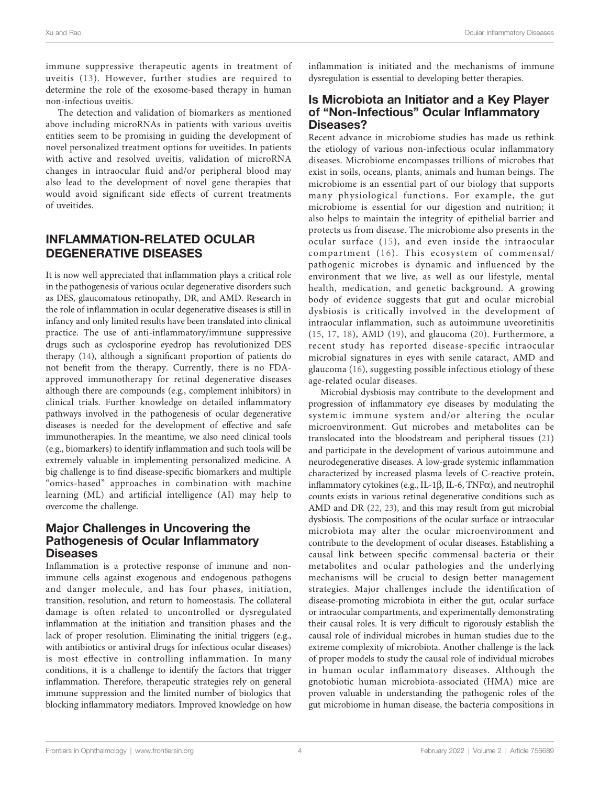immune suppressive therapeutic agents in treatment of uveitis ([13\)](#page-6-0). However, further studies are required to determine the role of the exosome-based therapy in human non-infectious uveitis.

The detection and validation of biomarkers as mentioned above including microRNAs in patients with various uveitis entities seem to be promising in guiding the development of novel personalized treatment options for uveitides. In patients with active and resolved uveitis, validation of microRNA changes in intraocular fluid and/or peripheral blood may also lead to the development of novel gene therapies that would avoid significant side effects of current treatments of uveitides.

# INFLAMMATION-RELATED OCULAR DEGENERATIVE DISEASES

It is now well appreciated that inflammation plays a critical role in the pathogenesis of various ocular degenerative disorders such as DES, glaucomatous retinopathy, DR, and AMD. Research in the role of inflammation in ocular degenerative diseases is still in infancy and only limited results have been translated into clinical practice. The use of anti-inflammatory/immune suppressive drugs such as cyclosporine eyedrop has revolutionized DES therapy [\(14](#page-6-0)), although a significant proportion of patients do not benefit from the therapy. Currently, there is no FDAapproved immunotherapy for retinal degenerative diseases although there are compounds (e.g., complement inhibitors) in clinical trials. Further knowledge on detailed inflammatory pathways involved in the pathogenesis of ocular degenerative diseases is needed for the development of effective and safe immunotherapies. In the meantime, we also need clinical tools (e.g., biomarkers) to identify inflammation and such tools will be extremely valuable in implementing personalized medicine. A big challenge is to find disease-specific biomarkers and multiple "omics-based" approaches in combination with machine learning (ML) and artificial intelligence (AI) may help to overcome the challenge.

### Major Challenges in Uncovering the Pathogenesis of Ocular Inflammatory **Diseases**

Inflammation is a protective response of immune and nonimmune cells against exogenous and endogenous pathogens and danger molecule, and has four phases, initiation, transition, resolution, and return to homeostasis. The collateral damage is often related to uncontrolled or dysregulated inflammation at the initiation and transition phases and the lack of proper resolution. Eliminating the initial triggers (e.g., with antibiotics or antiviral drugs for infectious ocular diseases) is most effective in controlling inflammation. In many conditions, it is a challenge to identify the factors that trigger inflammation. Therefore, therapeutic strategies rely on general immune suppression and the limited number of biologics that blocking inflammatory mediators. Improved knowledge on how

inflammation is initiated and the mechanisms of immune dysregulation is essential to developing better therapies.

### Is Microbiota an Initiator and a Key Player of "Non-Infectious" Ocular Inflammatory Diseases?

Recent advance in microbiome studies has made us rethink the etiology of various non-infectious ocular inflammatory diseases. Microbiome encompasses trillions of microbes that exist in soils, oceans, plants, animals and human beings. The microbiome is an essential part of our biology that supports many physiological functions. For example, the gut microbiome is essential for our digestion and nutrition; it also helps to maintain the integrity of epithelial barrier and protects us from disease. The microbiome also presents in the ocular surface ([15\)](#page-6-0), and even inside the intraocular compartment ([16\)](#page-6-0). This ecosystem of commensal/ pathogenic microbes is dynamic and influenced by the environment that we live, as well as our lifestyle, mental health, medication, and genetic background. A growing body of evidence suggests that gut and ocular microbial dysbiosis is critically involved in the development of intraocular inflammation, such as autoimmune uveoretinitis ([15](#page-6-0), [17](#page-6-0), [18\)](#page-6-0), AMD [\(19\)](#page-6-0), and glaucoma [\(20\)](#page-6-0). Furthermore, a recent study has reported disease-specific intraocular microbial signatures in eyes with senile cataract, AMD and glaucoma ([16](#page-6-0)), suggesting possible infectious etiology of these age-related ocular diseases.

Microbial dysbiosis may contribute to the development and progression of inflammatory eye diseases by modulating the systemic immune system and/or altering the ocular microenvironment. Gut microbes and metabolites can be translocated into the bloodstream and peripheral tissues ([21\)](#page-6-0) and participate in the development of various autoimmune and neurodegenerative diseases. A low-grade systemic inflammation characterized by increased plasma levels of C-reactive protein, inflammatory cytokines (e.g., IL-1 $\beta$ , IL-6, TNF $\alpha$ ), and neutrophil counts exists in various retinal degenerative conditions such as AMD and DR [\(22,](#page-6-0) [23\)](#page-6-0), and this may result from gut microbial dysbiosis. The compositions of the ocular surface or intraocular microbiota may alter the ocular microenvironment and contribute to the development of ocular diseases. Establishing a causal link between specific commensal bacteria or their metabolites and ocular pathologies and the underlying mechanisms will be crucial to design better management strategies. Major challenges include the identification of disease-promoting microbiota in either the gut, ocular surface or intraocular compartments, and experimentally demonstrating their causal roles. It is very difficult to rigorously establish the causal role of individual microbes in human studies due to the extreme complexity of microbiota. Another challenge is the lack of proper models to study the causal role of individual microbes in human ocular inflammatory diseases. Although the gnotobiotic human microbiota-associated (HMA) mice are proven valuable in understanding the pathogenic roles of the gut microbiome in human disease, the bacteria compositions in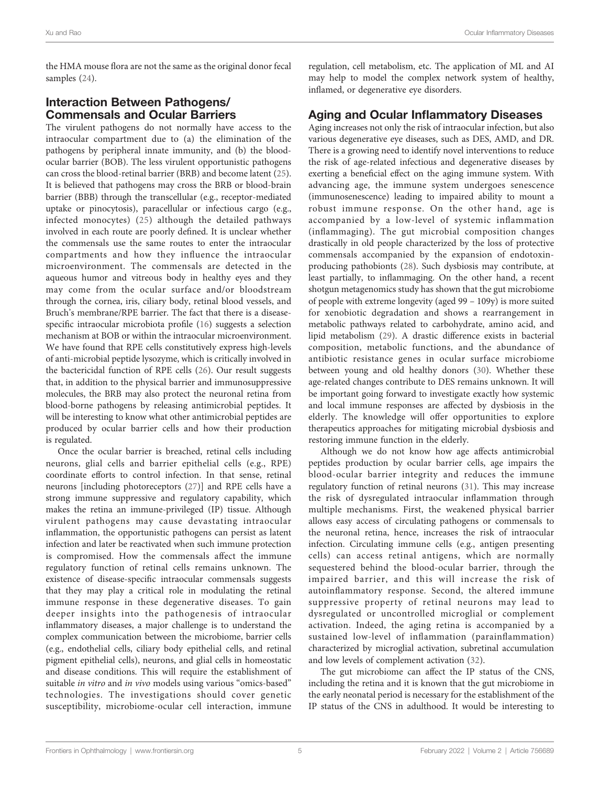the HMA mouse flora are not the same as the original donor fecal samples ([24\)](#page-6-0).

# Interaction Between Pathogens/ Commensals and Ocular Barriers

The virulent pathogens do not normally have access to the intraocular compartment due to (a) the elimination of the pathogens by peripheral innate immunity, and (b) the bloodocular barrier (BOB). The less virulent opportunistic pathogens can cross the blood-retinal barrier (BRB) and become latent ([25\)](#page-6-0). It is believed that pathogens may cross the BRB or blood-brain barrier (BBB) through the transcellular (e.g., receptor-mediated uptake or pinocytosis), paracellular or infectious cargo (e.g., infected monocytes) ([25\)](#page-6-0) although the detailed pathways involved in each route are poorly defined. It is unclear whether the commensals use the same routes to enter the intraocular compartments and how they influence the intraocular microenvironment. The commensals are detected in the aqueous humor and vitreous body in healthy eyes and they may come from the ocular surface and/or bloodstream through the cornea, iris, ciliary body, retinal blood vessels, and Bruch's membrane/RPE barrier. The fact that there is a diseasespecific intraocular microbiota profile [\(16](#page-6-0)) suggests a selection mechanism at BOB or within the intraocular microenvironment. We have found that RPE cells constitutively express high-levels of anti-microbial peptide lysozyme, which is critically involved in the bactericidal function of RPE cells ([26](#page-6-0)). Our result suggests that, in addition to the physical barrier and immunosuppressive molecules, the BRB may also protect the neuronal retina from blood-borne pathogens by releasing antimicrobial peptides. It will be interesting to know what other antimicrobial peptides are produced by ocular barrier cells and how their production is regulated.

Once the ocular barrier is breached, retinal cells including neurons, glial cells and barrier epithelial cells (e.g., RPE) coordinate efforts to control infection. In that sense, retinal neurons [including photoreceptors ([27\)](#page-6-0)] and RPE cells have a strong immune suppressive and regulatory capability, which makes the retina an immune-privileged (IP) tissue. Although virulent pathogens may cause devastating intraocular inflammation, the opportunistic pathogens can persist as latent infection and later be reactivated when such immune protection is compromised. How the commensals affect the immune regulatory function of retinal cells remains unknown. The existence of disease-specific intraocular commensals suggests that they may play a critical role in modulating the retinal immune response in these degenerative diseases. To gain deeper insights into the pathogenesis of intraocular inflammatory diseases, a major challenge is to understand the complex communication between the microbiome, barrier cells (e.g., endothelial cells, ciliary body epithelial cells, and retinal pigment epithelial cells), neurons, and glial cells in homeostatic and disease conditions. This will require the establishment of suitable in vitro and in vivo models using various "omics-based" technologies. The investigations should cover genetic susceptibility, microbiome-ocular cell interaction, immune

regulation, cell metabolism, etc. The application of ML and AI may help to model the complex network system of healthy, inflamed, or degenerative eye disorders.

# Aging and Ocular Inflammatory Diseases

Aging increases not only the risk of intraocular infection, but also various degenerative eye diseases, such as DES, AMD, and DR. There is a growing need to identify novel interventions to reduce the risk of age-related infectious and degenerative diseases by exerting a beneficial effect on the aging immune system. With advancing age, the immune system undergoes senescence (immunosenescence) leading to impaired ability to mount a robust immune response. On the other hand, age is accompanied by a low-level of systemic inflammation (inflammaging). The gut microbial composition changes drastically in old people characterized by the loss of protective commensals accompanied by the expansion of endotoxinproducing pathobionts ([28\)](#page-6-0). Such dysbiosis may contribute, at least partially, to inflammaging. On the other hand, a recent shotgun metagenomics study has shown that the gut microbiome of people with extreme longevity (aged 99 – 109y) is more suited for xenobiotic degradation and shows a rearrangement in metabolic pathways related to carbohydrate, amino acid, and lipid metabolism ([29\)](#page-7-0). A drastic difference exists in bacterial composition, metabolic functions, and the abundance of antibiotic resistance genes in ocular surface microbiome between young and old healthy donors [\(30](#page-7-0)). Whether these age-related changes contribute to DES remains unknown. It will be important going forward to investigate exactly how systemic and local immune responses are affected by dysbiosis in the elderly. The knowledge will offer opportunities to explore therapeutics approaches for mitigating microbial dysbiosis and restoring immune function in the elderly.

Although we do not know how age affects antimicrobial peptides production by ocular barrier cells, age impairs the blood-ocular barrier integrity and reduces the immune regulatory function of retinal neurons ([31](#page-7-0)). This may increase the risk of dysregulated intraocular inflammation through multiple mechanisms. First, the weakened physical barrier allows easy access of circulating pathogens or commensals to the neuronal retina, hence, increases the risk of intraocular infection. Circulating immune cells (e.g., antigen presenting cells) can access retinal antigens, which are normally sequestered behind the blood-ocular barrier, through the impaired barrier, and this will increase the risk of autoinflammatory response. Second, the altered immune suppressive property of retinal neurons may lead to dysregulated or uncontrolled microglial or complement activation. Indeed, the aging retina is accompanied by a sustained low-level of inflammation (parainflammation) characterized by microglial activation, subretinal accumulation and low levels of complement activation ([32](#page-7-0)).

The gut microbiome can affect the IP status of the CNS, including the retina and it is known that the gut microbiome in the early neonatal period is necessary for the establishment of the IP status of the CNS in adulthood. It would be interesting to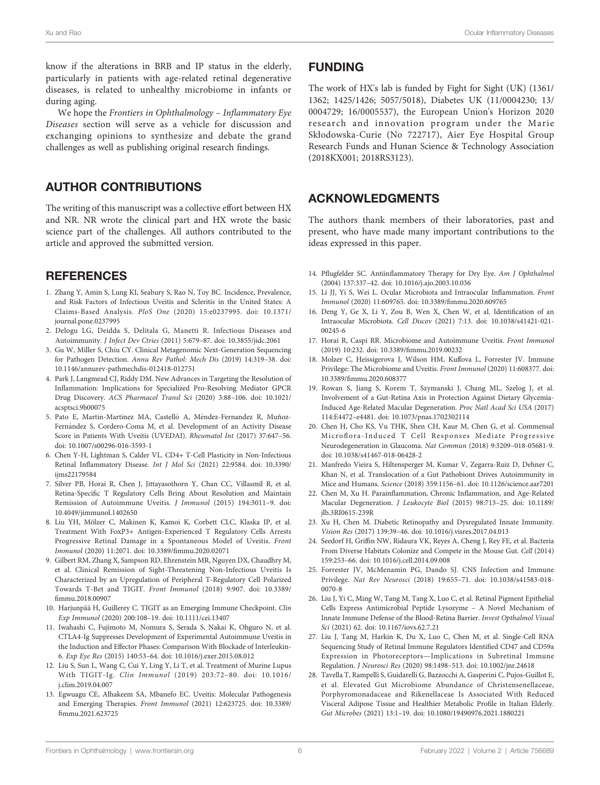<span id="page-6-0"></span>know if the alterations in BRB and IP status in the elderly, particularly in patients with age-related retinal degenerative diseases, is related to unhealthy microbiome in infants or during aging.

We hope the Frontiers in Ophthalmology – Inflammatory Eye Diseases section will serve as a vehicle for discussion and exchanging opinions to synthesize and debate the grand challenges as well as publishing original research findings.

# AUTHOR CONTRIBUTIONS

The writing of this manuscript was a collective effort between HX and NR. NR wrote the clinical part and HX wrote the basic science part of the challenges. All authors contributed to the article and approved the submitted version.

# **REFERENCES**

- 1. Zhang Y, Amin S, Lung KI, Seabury S, Rao N, Toy BC. Incidence, Prevalence, and Risk Factors of Infectious Uveitis and Scleritis in the United States: A Claims-Based Analysis. PloS One (2020) 15:e0237995. doi: [10.1371/](https://doi.org/10.1371/journal.pone.0237995) [journal.pone.0237995](https://doi.org/10.1371/journal.pone.0237995)
- 2. Delogu LG, Deidda S, Delitala G, Manetti R. Infectious Diseases and Autoimmunity. J Infect Dev Ctries (2011) 5:679–87. doi: [10.3855/jidc.2061](https://doi.org/10.3855/jidc.2061)
- 3. Gu W, Miller S, Chiu CY. Clinical Metagenomic Next-Generation Sequencing for Pathogen Detection. Annu Rev Pathol: Mech Dis (2019) 14:319–38. doi: [10.1146/annurev-pathmechdis-012418-012751](https://doi.org/10.1146/annurev-pathmechdis-012418-012751)
- 4. Park J, Langmead CJ, Riddy DM. New Advances in Targeting the Resolution of Inflammation: Implications for Specialized Pro-Resolving Mediator GPCR Drug Discovery. ACS Pharmacol Transl Sci (2020) 3:88–106. doi: [10.1021/](https://doi.org/10.1021/acsptsci.9b00075) [acsptsci.9b00075](https://doi.org/10.1021/acsptsci.9b00075)
- 5. Pato E, Martin-Martinez MA, Castelló A, Méndez-Fernandez R, Muñoz-Fernández S, Cordero-Coma M, et al. Development of an Activity Disease Score in Patients With Uveitis (UVEDAI). Rheumatol Int (2017) 37:647–56. doi: [10.1007/s00296-016-3593-1](https://doi.org/10.1007/s00296-016-3593-1)
- 6. Chen Y-H, Lightman S, Calder VL. CD4+ T-Cell Plasticity in Non-Infectious Retinal Inflammatory Disease. Int J Mol Sci (2021) 22:9584. doi: [10.3390/](https://doi.org/10.3390/ijms22179584) [ijms22179584](https://doi.org/10.3390/ijms22179584)
- 7. Silver PB, Horai R, Chen J, Jittayasothorn Y, Chan CC, Villasmil R, et al. Retina-Specific T Regulatory Cells Bring About Resolution and Maintain Remission of Autoimmune Uveitis. J Immunol (2015) 194:3011–9. doi: [10.4049/jimmunol.1402650](https://doi.org/10.4049/jimmunol.1402650)
- 8. Liu YH, Mölzer C, Makinen K, Kamoi K, Corbett CLC, Klaska IP, et al. Treatment With FoxP3+ Antigen-Experienced T Regulatory Cells Arrests Progressive Retinal Damage in a Spontaneous Model of Uveitis. Front Immunol (2020) 11:2071. doi: 10.3389/fi[mmu.2020.02071](https://doi.org/10.3389/fimmu.2020.02071)
- 9. Gilbert RM, Zhang X, Sampson RD, Ehrenstein MR, Nguyen DX, Chaudhry M, et al. Clinical Remission of Sight-Threatening Non-Infectious Uveitis Is Characterized by an Upregulation of Peripheral T-Regulatory Cell Polarized Towards T-Bet and TIGIT. Front Immunol (2018) 9:907. doi: [10.3389/](https://doi.org/10.3389/fimmu.2018.00907) fi[mmu.2018.00907](https://doi.org/10.3389/fimmu.2018.00907)
- 10. Harjunpää H, Guillerey C. TIGIT as an Emerging Immune Checkpoint. Clin Exp Immunol (2020) 200:108–19. doi: [10.1111/cei.13407](https://doi.org/10.1111/cei.13407)
- 11. Iwahashi C, Fujimoto M, Nomura S, Serada S, Nakai K, Ohguro N, et al. CTLA4-Ig Suppresses Development of Experimental Autoimmune Uveitis in the Induction and Effector Phases: Comparison With Blockade of Interleukin-6. Exp Eye Res (2015) 140:53–64. doi: [10.1016/j.exer.2015.08.012](https://doi.org/10.1016/j.exer.2015.08.012)
- 12. Liu S, Sun L, Wang C, Cui Y, Ling Y, Li T, et al. Treatment of Murine Lupus With TIGIT-Ig. Clin Immunol (2019) 203:72–80. doi: [10.1016/](https://doi.org/10.1016/j.clim.2019.04.007) [j.clim.2019.04.007](https://doi.org/10.1016/j.clim.2019.04.007)
- 13. Egwuagu CE, Alhakeem SA, Mbanefo EC. Uveitis: Molecular Pathogenesis and Emerging Therapies. Front Immunol (2021) 12:623725. doi: [10.3389/](https://doi.org/10.3389/fimmu.2021.623725) fi[mmu.2021.623725](https://doi.org/10.3389/fimmu.2021.623725)

### FUNDING

The work of HX's lab is funded by Fight for Sight (UK) (1361/ 1362; 1425/1426; 5057/5018), Diabetes UK (11/0004230; 13/ 0004729; 16/0005537), the European Union's Horizon 2020 research and innovation program under the Marie Skłodowska-Curie (No 722717), Aier Eye Hospital Group Research Funds and Hunan Science & Technology Association (2018KX001; 2018RS3123).

### ACKNOWLEDGMENTS

The authors thank members of their laboratories, past and present, who have made many important contributions to the ideas expressed in this paper.

- 14. Pflugfelder SC. Antiinflammatory Therapy for Dry Eye. Am J Ophthalmol (2004) 137:337–42. doi: [10.1016/j.ajo.2003.10.036](https://doi.org/10.1016/j.ajo.2003.10.036)
- 15. Li JJ, Yi S, Wei L. Ocular Microbiota and Intraocular Inflammation. Front Immunol (2020) 11:609765. doi: 10.3389/fi[mmu.2020.609765](https://doi.org/10.3389/fimmu.2020.609765)
- 16. Deng Y, Ge X, Li Y, Zou B, Wen X, Chen W, et al. Identification of an Intraocular Microbiota. Cell Discov (2021) 7:13. doi: [10.1038/s41421-021-](https://doi.org/10.1038/s41421-021-00245-6) [00245-6](https://doi.org/10.1038/s41421-021-00245-6)
- 17. Horai R, Caspi RR. Microbiome and Autoimmune Uveitis. Front Immunol (2019) 10:232. doi: 10.3389/fi[mmu.2019.00232](https://doi.org/10.3389/fimmu.2019.00232)
- 18. Molzer C, Heissigerova J, Wilson HM, Kuffova L, Forrester JV. Immune Privilege: The Microbiome and Uveitis. Front Immunol (2020) 11:608377. doi: 10.3389/fi[mmu.2020.608377](https://doi.org/10.3389/fimmu.2020.608377)
- 19. Rowan S, Jiang S, Korem T, Szymanski J, Chang ML, Szelog J, et al. Involvement of a Gut-Retina Axis in Protection Against Dietary Glycemia-Induced Age-Related Macular Degeneration. Proc Natl Acad Sci USA (2017) 114:E4472–e4481. doi: [10.1073/pnas.1702302114](https://doi.org/10.1073/pnas.1702302114)
- 20. Chen H, Cho KS, Vu THK, Shen CH, Kaur M, Chen G, et al. Commensal Microflora-Induced T Cell Responses Mediate Progressive Neurodegeneration in Glaucoma. Nat Commun (2018) 9:3209–018-05681-9. doi: [10.1038/s41467-018-06428-2](https://doi.org/10.1038/s41467-018-06428-2)
- 21. Manfredo Vieira S, Hiltensperger M, Kumar V, Zegarra-Ruiz D, Dehner C, Khan N, et al. Translocation of a Gut Pathobiont Drives Autoimmunity in Mice and Humans. Science (2018) 359:1156–61. doi: [10.1126/science.aar7201](https://doi.org/10.1126/science.aar7201)
- 22. Chen M, Xu H. Parainflammation, Chronic Inflammation, and Age-Related Macular Degeneration. J Leukocyte Biol (2015) 98:713–25. doi: [10.1189/](https://doi.org/10.1189/jlb.3RI0615-239R) [jlb.3RI0615-239R](https://doi.org/10.1189/jlb.3RI0615-239R)
- 23. Xu H, Chen M. Diabetic Retinopathy and Dysregulated Innate Immunity. Vision Res (2017) 139:39–46. doi: [10.1016/j.visres.2017.04.013](https://doi.org/10.1016/j.visres.2017.04.013)
- 24. Seedorf H, Griffin NW, Ridaura VK, Reyes A, Cheng J, Rey FE, et al. Bacteria From Diverse Habitats Colonize and Compete in the Mouse Gut. Cell (2014) 159:253–66. doi: [10.1016/j.cell.2014.09.008](https://doi.org/10.1016/j.cell.2014.09.008)
- 25. Forrester JV, McMenamin PG, Dando SJ. CNS Infection and Immune Privilege. Nat Rev Neurosci (2018) 19:655–71. doi: [10.1038/s41583-018-](https://doi.org/10.1038/s41583-018-0070-8) [0070-8](https://doi.org/10.1038/s41583-018-0070-8)
- 26. Liu J, Yi C, Ming W, Tang M, Tang X, Luo C, et al. Retinal Pigment Epithelial Cells Express Antimicrobial Peptide Lysozyme – A Novel Mechanism of Innate Immune Defense of the Blood-Retina Barrier. Invest Opthalmol Visual Sci (2021) 62. doi: [10.1167/iovs.62.7.21](https://doi.org/10.1167/iovs.62.7.21)
- 27. Liu J, Tang M, Harkin K, Du X, Luo C, Chen M, et al. Single-Cell RNA Sequencing Study of Retinal Immune Regulators Identified CD47 and CD59a Expression in Photoreceptors—Implications in Subretinal Immune Regulation. J Neurosci Res (2020) 98:1498–513. doi: [10.1002/jnr.24618](https://doi.org/10.1002/jnr.24618)
- 28. Tavella T, Rampelli S, Guidarelli G, Bazzocchi A, Gasperini C, Pujos-Guillot E, et al. Elevated Gut Microbiome Abundance of Christensenellaceae, Porphyromonadaceae and Rikenellaceae Is Associated With Reduced Visceral Adipose Tissue and Healthier Metabolic Profile in Italian Elderly. Gut Microbes (2021) 13:1–19. doi: [10.1080/19490976.2021.1880221](https://doi.org/10.1080/19490976.2021.1880221)